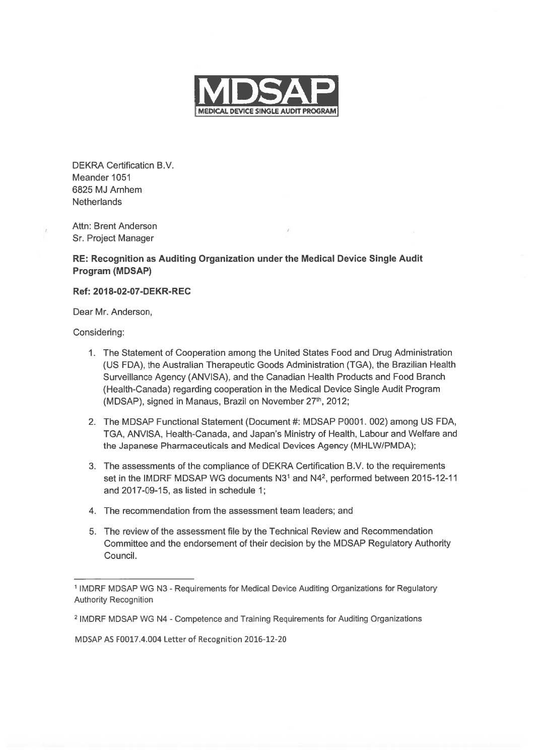

DEKRA Certification B.V. Meander 1051 6825 MJ Arnhem **Netherlands** 

Attn: Brent Anderson / Sr. Project Manager

## RE: Recognition as Auditing Organization under the Medical Device Single Audit Program (MDSAP)

## Ref: 2018-02-07-DEKR-REC

Dear Mr. Anderson,

Considering:

- 1. The Statement of Cooperation among the United States Food and Drug Administration (US FDA), the Australian Therapeutic Goods Administration (TGA), the Brazilian Health Surveillance Agency (ANVISA), and the Canadian Health Products and Food Branch (Health-Canada) regarding cooperation in the Medical Device Single Audit Program (MDSAP), signed in Manaus, Brazil on November 27<sup>th</sup>, 2012;
- 2. The MDSAP Functional Statement (Document #: MDSAP P0001. 002) among US FDA, TGA, ANVISA, Health-Canada, and Japan's Ministry of Health, Labour and Welfare and the Japanese Pharmaceuticals and Medical Devices Agency (MHLW/PMDA);
- 3. The assessments of the compliance of DEKRA Certification B.V. to the requirements set in the IMDRF MDSAP WG documents N3<sup>1</sup> and N4<sup>2</sup>, performed between 2015-12-11 and 2017-09-15, as listed in schedule 1;
- 4. The recommendation from the assessment team leaders; and
- 5. The review of the assessment file by the Technical Review and Recommendation Committee and the endorsement of their decision by the MDSAP Regulatory Authority Council.

MDSAP AS F0017.4.004 Letter of Recognition 2016-12-20

<sup>&</sup>lt;sup>1</sup> IMDRF MDSAP WG N3 - Requirements for Medical Device Auditing Organizations for Regulatory Authority Recognition

<sup>2</sup> IMDRF MDSAP WG N4 -Competence and Training Requirements for Auditing Organizations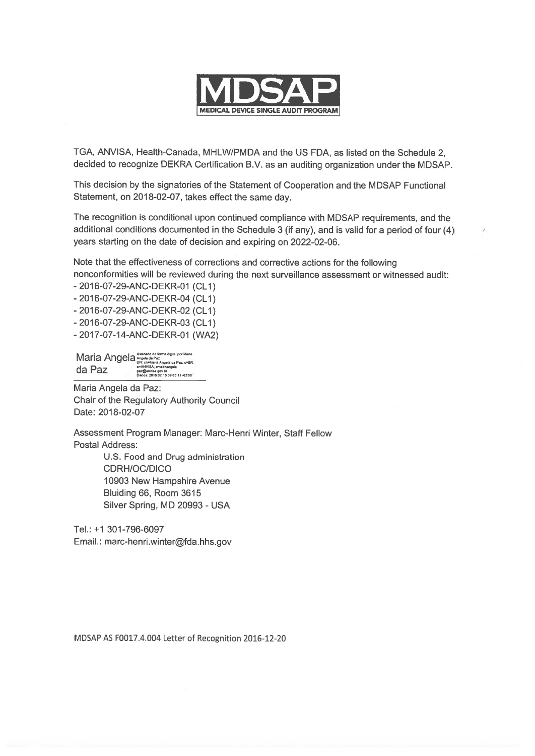

TGA, ANVISA, Health-Canada, MHLW/PMDA and the US FDA, as listed on the Schedule 2, decided to recognize DEKRA Certification B.V. as an auditing organization under the MDSAP.

This decision by the signatories of the Statement of Cooperation and the MDSAP Functional Statement, on 2018-02-07, takes effect the same day.

The recognition is conditional upon continued compliance with MDSAP requirements, and the additional conditions documented in the Schedule <sup>3</sup> (if any), and is valid for <sup>a</sup> period of four (4) years starting on the date of decision and expiring on 2022-02-06.

Note that the effectiveness of corrections and corrective actions for the following nonconformities will be reviewed during the next surveillance assessment or witnessed audit:

- 2016-07-29-ANC-DEKR-01 (CL1)

- 2016-07-29-ANC-DEKR-04 (CL1)

- 2016-07-29-ANC-DEKR-02 (CL1)

- 2016-07-29-ANC-DEKR-03 (CL1)

- 2017-07-14-ANC-DEKR-01 (WA2)

Maria Angela **Angela da Paziki da Bazikia Angela da Pazi**  $\tan \mathbb{R}$   $\mathbb{R}$   $\mathbb{R}$   $\mathbb{R}$   $\mathbb{R}$   $\mathbb{R}$  paz@anvisa gov by paz@anvisa gov br<br>Dados: 2018 02 16 09 05 11 -02'00

Maria Angela da Paz: Chair of the Regulatory Authority Council Date: 2018-02-07

Assessment Program Manager: Marc-Henri Winter, Staff Fellow Postal Address:

> U.S. Food and Drug administration CDRH/OC/DICO 10903 New Hampshire Avenue Bluiding 66, Room 3615 Silver Spring, MD 20993 - USA

Tel.: +1 301-796-6097 Email.: marc-henri.winter@fda.hhs.gov

MDSAP AS F0017.4.004 Letter of Recognition 2016-12-20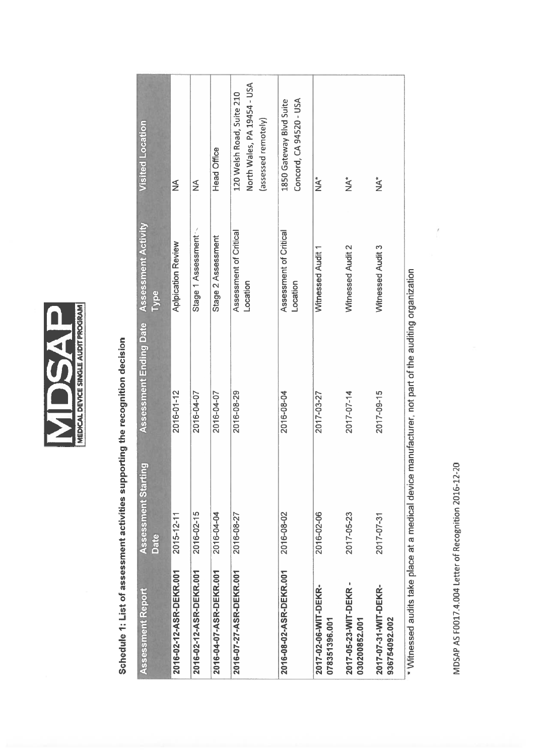

Schedule 1: List of assessment activities supporting the recognition decision Schedule 1: List of assessment activities supporting the recognition decision

| Assessment Report                      | <b>Assessment Starting</b><br>Date | <b>Assessment Ending Date</b>                                                                         | Assessment Activity<br>Type        | <b>Visited Location</b>                                                         |
|----------------------------------------|------------------------------------|-------------------------------------------------------------------------------------------------------|------------------------------------|---------------------------------------------------------------------------------|
| 2016-02-12-ASR-DEKR.001                | $2015 - 12 - 11$                   | 2016-01-12                                                                                            | <b>Aplpication Review</b>          | $\frac{1}{2}$                                                                   |
| 2016-02-12-ASR-DEKR.001                | 2016-02-15                         | 2016-04-07                                                                                            | Stage 1 Assessment                 | ≨                                                                               |
| 2016-04-07-ASR-DEKR.001                | 2016-04-04                         | 2016-04-07                                                                                            | Stage 2 Assessment                 | <b>Head Office</b>                                                              |
| 2016-07-27-ASR-DEKR.001                | 2016-08-27                         | 2016-08-29                                                                                            | Assessment of Critical<br>Location | North Wales, PA 19454 - USA<br>120 Welsh Road, Suite 210<br>(assessed remotely) |
| 2016-08-02-ASR-DEKR.001                | 2016-08-02                         | 2016-08-04                                                                                            | Assessment of Critical<br>Location | Concord, CA 94520 - USA<br>1850 Gateway Blvd Suite                              |
| 2017-02-06-WIT-DEKR-<br>078351396.001  | 2016-02-06                         | 2017-03-27                                                                                            | Witnessed Audit 1                  | ,<br>∕k                                                                         |
| 2017-05-23-WIT-DEKR -<br>030200852.001 | 2017-05-23                         | 2017-07-14                                                                                            | Witnessed Audit 2                  | ż                                                                               |
| 2017-07-31-WIT-DEKR-<br>936754092.002  | 2017-07-31                         | 2017-09-15                                                                                            | Witnessed Audit 3                  | $\sum_{i=1}^{k}$                                                                |
|                                        |                                    | * Witnessed audits take place at a medical device manufacturer, not part of the auditing organization |                                    |                                                                                 |

 $\overline{\mathcal{I}}$ 

MDSAP AS F0017.4.004 Letter of Recognition 2016-12-20 MDSAP AS F0017.4.004 Letter of Recognition 2016-12-20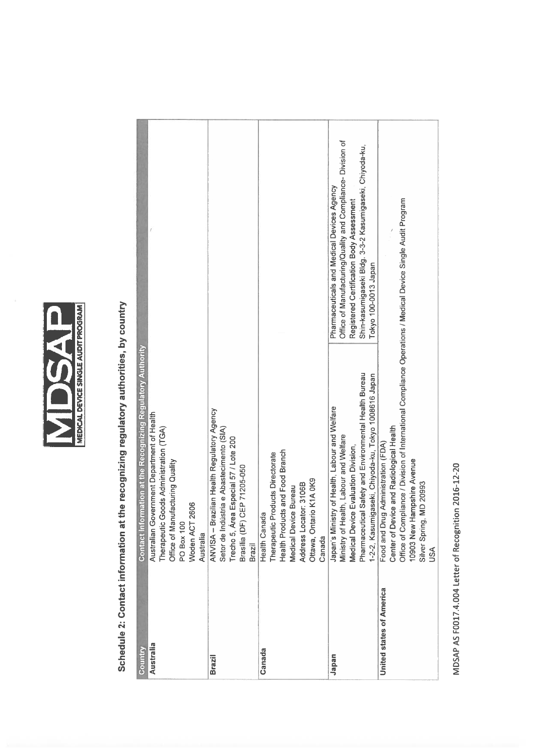

## Schedule 2: Contact information at the recognizing regulatory authorities, by country Schedule 2: Contact information at the recognizing regulatory authorities, by country

| Country                           | Contact Information at the Recognizing Regulatory Authority                                                                                                                                                                                                                                                                                                    |                                                                                                                                                                                                                                          |
|-----------------------------------|----------------------------------------------------------------------------------------------------------------------------------------------------------------------------------------------------------------------------------------------------------------------------------------------------------------------------------------------------------------|------------------------------------------------------------------------------------------------------------------------------------------------------------------------------------------------------------------------------------------|
| <b>Australia</b><br><b>Brazil</b> | ANVISA - Brazilian Health Regulatory Agency<br>Australian Government Department of Health<br>Therapeutic Goods Administration (TGA)<br>Setor de Indústria e Abastecimento (SIA)<br>Trecho 5, Area Especial 57 / Lote 200<br>Office of Manufacturing Quality<br>CEP 71205-050<br>2606<br>Woden ACT<br>Brasilia (DF)<br><b>PO Box 100</b><br>Australia<br>Brazil |                                                                                                                                                                                                                                          |
| Canada                            | Health Products and Food Branch<br><b>Products Directorate</b><br>Ottawa, Ontario K1A 0K9<br>Address Locator: 3106B<br>Medical Device Bureau<br><b>Health Canada</b><br>Therapeutic<br>Canada                                                                                                                                                                  |                                                                                                                                                                                                                                          |
| Japan                             | Pharmaceutical Safety and Environmental Health Bureau<br>1-2-2, Kasumigaseki, Chiyoda-ku, Tokyo 1008616 Japan<br>Japan's Ministry of Health, Labour and Welfare<br>Ministry of Health, Labour and Welfare<br>Medical Device Evaluation Division,                                                                                                               | Office of Manufacturing/Quality and Compliance- Division of<br>Shin-kasumigaseki Bldg. 3-3-2 Kasumigaseki, Chiyoda-ku,<br>Pharmaceuticals and Medical Devices Agency<br>Registered Certification Body Assessment<br>Tokyo 100-0013 Japan |
| United states of America          | Office of Compliance / Division of International Compliance Operations / Medical Device Single Audit Program<br>Center of Device and Radiological Health<br>Food and Drug Administration (FDA)<br>10903 New Hampshire Avenue<br>MD 20993<br>Silver Spring<br>SSQ                                                                                               |                                                                                                                                                                                                                                          |

MDSAP AS F0017.4.004 Letter of Recognition 2016-12-20 MDSAP AS F0017.4.004 Letter of Recognition 2016-12-20